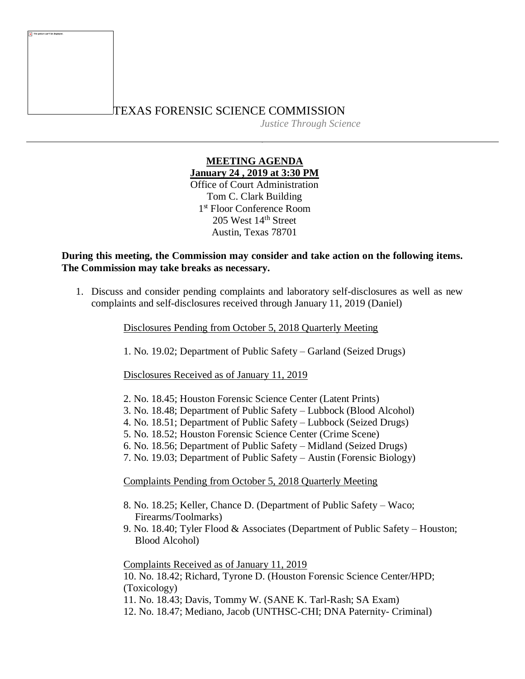## TEXAS FORENSIC SCIENCE COMMISSION

*Justice Through Science*

## **MEETING AGENDA January 24 , 2019 at 3:30 PM**

Office of Court Administration Tom C. Clark Building 1 st Floor Conference Room 205 West 14th Street Austin, Texas 78701

## **During this meeting, the Commission may consider and take action on the following items. The Commission may take breaks as necessary.**

1. Discuss and consider pending complaints and laboratory self-disclosures as well as new complaints and self-disclosures received through January 11, 2019 (Daniel)

Disclosures Pending from October 5, 2018 Quarterly Meeting

1. No. 19.02; Department of Public Safety – Garland (Seized Drugs)

Disclosures Received as of January 11, 2019

- 2. No. 18.45; Houston Forensic Science Center (Latent Prints)
- 3. No. 18.48; Department of Public Safety Lubbock (Blood Alcohol)
- 4. No. 18.51; Department of Public Safety Lubbock (Seized Drugs)
- 5. No. 18.52; Houston Forensic Science Center (Crime Scene)
- 6. No. 18.56; Department of Public Safety Midland (Seized Drugs)
- 7. No. 19.03; Department of Public Safety Austin (Forensic Biology)

Complaints Pending from October 5, 2018 Quarterly Meeting

- 8. No. 18.25; Keller, Chance D. (Department of Public Safety Waco; Firearms/Toolmarks)
- 9. No. 18.40; Tyler Flood & Associates (Department of Public Safety Houston; Blood Alcohol)

Complaints Received as of January 11, 2019 10. No. 18.42; Richard, Tyrone D. (Houston Forensic Science Center/HPD;

(Toxicology)

11. No. 18.43; Davis, Tommy W. (SANE K. Tarl-Rash; SA Exam)

12. No. 18.47; Mediano, Jacob (UNTHSC-CHI; DNA Paternity- Criminal)